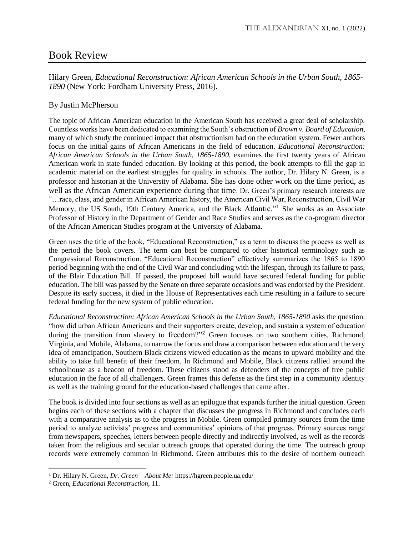## Book Review

Hilary Green, *Educational Reconstruction: African American Schools in the Urban South, 1865- 1890* (New York: Fordham University Press, 2016).

## By Justin McPherson

The topic of African American education in the American South has received a great deal of scholarship. Countless works have been dedicated to examining the South's obstruction of *Brown v. Board of Education*, many of which study the continued impact that obstructionism had on the education system. Fewer authors focus on the initial gains of African Americans in the field of education. *Educational Reconstruction: African American Schools in the Urban South, 1865-1890*, examines the first twenty years of African American work in state funded education. By looking at this period, the book attempts to fill the gap in academic material on the earliest struggles for quality in schools. The author, Dr. Hilary N. Green, is a professor and historian at the University of Alabama. She has done other work on the time period, as well as the African American experience during that time. Dr. Green's primary research interests are "…race, class, and gender in African American history, the American Civil War, Reconstruction, Civil War Memory, the US South, 19th Century America, and the Black Atlantic."<sup>1</sup> She works as an Associate Professor of History in the Department of Gender and Race Studies and serves as the co-program director of the African American Studies program at the University of Alabama.

Green uses the title of the book, "Educational Reconstruction," as a term to discuss the process as well as the period the book covers. The term can best be compared to other historical terminology such as Congressional Reconstruction. "Educational Reconstruction" effectively summarizes the 1865 to 1890 period beginning with the end of the Civil War and concluding with the lifespan, through its failure to pass, of the Blair Education Bill. If passed, the proposed bill would have secured federal funding for public education. The bill was passed by the Senate on three separate occasions and was endorsed by the President. Despite its early success, it died in the House of Representatives each time resulting in a failure to secure federal funding for the new system of public education.

*Educational Reconstruction: African American Schools in the Urban South, 1865-1890* asks the question: "how did urban African Americans and their supporters create, develop, and sustain a system of education during the transition from slavery to freedom?"<sup>2</sup> Green focuses on two southern cities, Richmond, Virginia, and Mobile, Alabama, to narrow the focus and draw a comparison between education and the very idea of emancipation. Southern Black citizens viewed education as the means to upward mobility and the ability to take full benefit of their freedom. In Richmond and Mobile, Black citizens rallied around the schoolhouse as a beacon of freedom. These citizens stood as defenders of the concepts of free public education in the face of all challengers. Green frames this defense as the first step in a community identity as well as the training ground for the education-based challenges that came after.

The book is divided into four sections as well as an epilogue that expands further the initial question. Green begins each of these sections with a chapter that discusses the progress in Richmond and concludes each with a comparative analysis as to the progress in Mobile. Green compiled primary sources from the time period to analyze activists' progress and communities' opinions of that progress. Primary sources range from newspapers, speeches, letters between people directly and indirectly involved, as well as the records taken from the religious and secular outreach groups that operated during the time. The outreach group records were extremely common in Richmond. Green attributes this to the desire of northern outreach

 $\overline{a}$ 

<sup>1</sup> Dr. Hilary N. Green, *Dr. Green – About Me:* https://hgreen.people.ua.edu/

<sup>2</sup> Green, *Educational Reconstruction,* 11.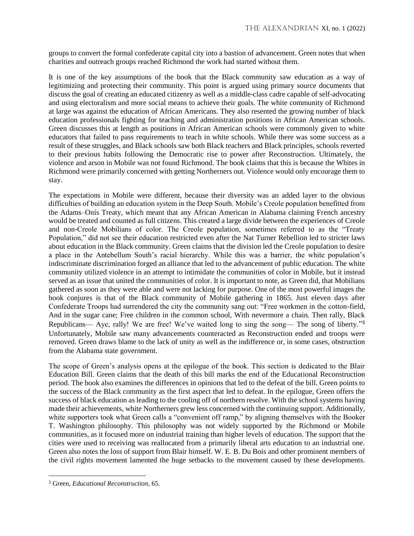groups to convert the formal confederate capital city into a bastion of advancement. Green notes that when charities and outreach groups reached Richmond the work had started without them.

It is one of the key assumptions of the book that the Black community saw education as a way of legitimizing and protecting their community. This point is argued using primary source documents that discuss the goal of creating an educated citizenry as well as a middle-class cadre capable of self-advocating and using electoralism and more social means to achieve their goals. The white community of Richmond at large was against the education of African Americans. They also resented the growing number of black education professionals fighting for teaching and administration positions in African American schools. Green discusses this at length as positions in African American schools were commonly given to white educators that failed to pass requirements to teach in white schools. While there was some success as a result of these struggles, and Black schools saw both Black teachers and Black principles, schools reverted to their previous habits following the Democratic rise to power after Reconstruction. Ultimately, the violence and arson in Mobile was not found Richmond. The book claims that this is because the Whites in Richmond were primarily concerned with getting Northerners out. Violence would only encourage them to stay.

The expectations in Mobile were different, because their diversity was an added layer to the obvious difficulties of building an education system in the Deep South. Mobile's Creole population benefitted from the Adams–Onís Treaty, which meant that any African American in Alabama claiming French ancestry would be treated and counted as full citizens. This created a large divide between the experiences of Creole and non-Creole Mobilians of color. The Creole population, sometimes referred to as the "Treaty Population," did not see their education restricted even after the Nat Turner Rebellion led to stricter laws about education in the Black community. Green claims that the division led the Creole population to desire a place in the Antebellum South's racial hierarchy. While this was a barrier, the white population's indiscriminate discrimination forged an alliance that led to the advancement of public education. The white community utilized violence in an attempt to intimidate the communities of color in Mobile, but it instead served as an issue that united the communities of color. It is important to note, as Green did, that Mobilians gathered as soon as they were able and were not lacking for purpose. One of the most powerful images the book conjures is that of the Black community of Mobile gathering in 1865. Just eleven days after Confederate Troops had surrendered the city the community sang out: "Free workmen in the cotton-field, And in the sugar cane; Free children in the common school, With nevermore a chain. Then rally, Black Republicans— Aye, rally! We are free! We've waited long to sing the song— The song of liberty."<sup>3</sup> Unfortunately, Mobile saw many advancements counteracted as Reconstruction ended and troops were removed. Green draws blame to the lack of unity as well as the indifference or, in some cases, obstruction from the Alabama state government.

The scope of Green's analysis opens at the epilogue of the book. This section is dedicated to the Blair Education Bill. Green claims that the death of this bill marks the end of the Educational Reconstruction period. The book also examines the differences in opinions that led to the defeat of the bill. Green points to the success of the Black community as the first aspect that led to defeat. In the epilogue, Green offers the success of black education as leading to the cooling off of northern resolve. With the school systems having made their achievements, white Northerners grew less concerned with the continuing support. Additionally, white supporters took what Green calls a "convenient off ramp," by aligning themselves with the Booker T. Washington philosophy. This philosophy was not widely supported by the Richmond or Mobile communities, as it focused more on industrial training than higher levels of education. The support that the cities were used to receiving was reallocated from a primarily liberal arts education to an industrial one. Green also notes the loss of support from Blair himself. W. E. B. Du Bois and other prominent members of the civil rights movement lamented the huge setbacks to the movement caused by these developments.

 $\overline{\phantom{a}}$ 

<sup>3</sup> Green, *Educational Reconstruction*, 65.